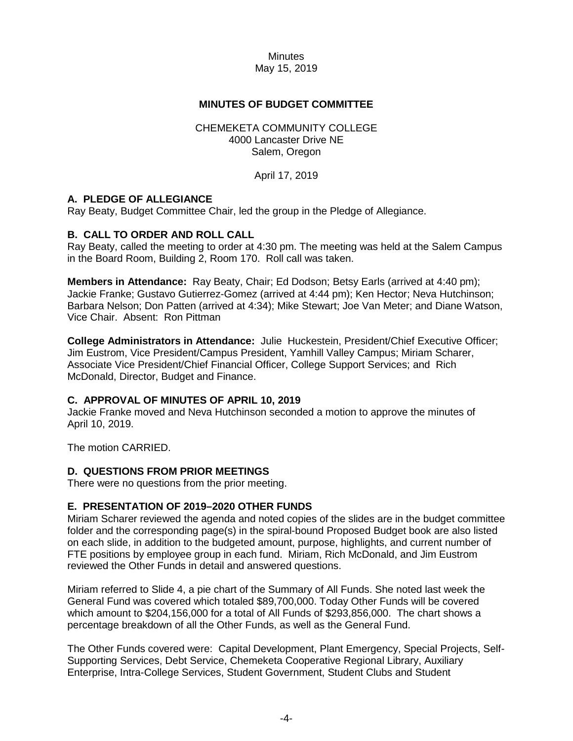# **MINUTES OF BUDGET COMMITTEE**

## CHEMEKETA COMMUNITY COLLEGE 4000 Lancaster Drive NE Salem, Oregon

April 17, 2019

## **A. PLEDGE OF ALLEGIANCE**

Ray Beaty, Budget Committee Chair, led the group in the Pledge of Allegiance.

## **B. CALL TO ORDER AND ROLL CALL**

Ray Beaty, called the meeting to order at 4:30 pm. The meeting was held at the Salem Campus in the Board Room, Building 2, Room 170. Roll call was taken.

**Members in Attendance:** Ray Beaty, Chair; Ed Dodson; Betsy Earls (arrived at 4:40 pm); Jackie Franke; Gustavo Gutierrez-Gomez (arrived at 4:44 pm); Ken Hector; Neva Hutchinson; Barbara Nelson; Don Patten (arrived at 4:34); Mike Stewart; Joe Van Meter; and Diane Watson, Vice Chair. Absent: Ron Pittman

**College Administrators in Attendance:** Julie Huckestein, President/Chief Executive Officer; Jim Eustrom, Vice President/Campus President, Yamhill Valley Campus; Miriam Scharer, Associate Vice President/Chief Financial Officer, College Support Services; and Rich McDonald, Director, Budget and Finance.

#### **C. APPROVAL OF MINUTES OF APRIL 10, 2019**

Jackie Franke moved and Neva Hutchinson seconded a motion to approve the minutes of April 10, 2019.

The motion CARRIED.

#### **D. QUESTIONS FROM PRIOR MEETINGS**

There were no questions from the prior meeting.

## **E. PRESENTATION OF 2019–2020 OTHER FUNDS**

Miriam Scharer reviewed the agenda and noted copies of the slides are in the budget committee folder and the corresponding page(s) in the spiral-bound Proposed Budget book are also listed on each slide, in addition to the budgeted amount, purpose, highlights, and current number of FTE positions by employee group in each fund. Miriam, Rich McDonald, and Jim Eustrom reviewed the Other Funds in detail and answered questions.

Miriam referred to Slide 4, a pie chart of the Summary of All Funds. She noted last week the General Fund was covered which totaled \$89,700,000. Today Other Funds will be covered which amount to \$204,156,000 for a total of All Funds of \$293,856,000. The chart shows a percentage breakdown of all the Other Funds, as well as the General Fund.

The Other Funds covered were: Capital Development, Plant Emergency, Special Projects, Self-Supporting Services, Debt Service, Chemeketa Cooperative Regional Library, Auxiliary Enterprise, Intra-College Services, Student Government, Student Clubs and Student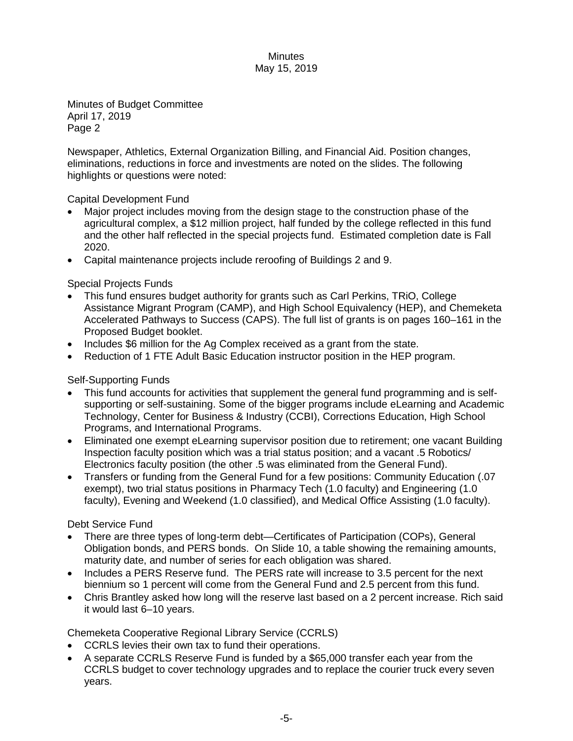Minutes of Budget Committee April 17, 2019 Page 2

Newspaper, Athletics, External Organization Billing, and Financial Aid. Position changes, eliminations, reductions in force and investments are noted on the slides. The following highlights or questions were noted:

Capital Development Fund

- Major project includes moving from the design stage to the construction phase of the agricultural complex, a \$12 million project, half funded by the college reflected in this fund and the other half reflected in the special projects fund. Estimated completion date is Fall 2020.
- Capital maintenance projects include reroofing of Buildings 2 and 9.

Special Projects Funds

- This fund ensures budget authority for grants such as Carl Perkins, TRiO, College Assistance Migrant Program (CAMP), and High School Equivalency (HEP), and Chemeketa Accelerated Pathways to Success (CAPS). The full list of grants is on pages 160–161 in the Proposed Budget booklet.
- Includes \$6 million for the Ag Complex received as a grant from the state.
- Reduction of 1 FTE Adult Basic Education instructor position in the HEP program.

Self-Supporting Funds

- This fund accounts for activities that supplement the general fund programming and is selfsupporting or self-sustaining. Some of the bigger programs include eLearning and Academic Technology, Center for Business & Industry (CCBI), Corrections Education, High School Programs, and International Programs.
- Eliminated one exempt eLearning supervisor position due to retirement; one vacant Building Inspection faculty position which was a trial status position; and a vacant .5 Robotics/ Electronics faculty position (the other .5 was eliminated from the General Fund).
- Transfers or funding from the General Fund for a few positions: Community Education (.07 exempt), two trial status positions in Pharmacy Tech (1.0 faculty) and Engineering (1.0 faculty), Evening and Weekend (1.0 classified), and Medical Office Assisting (1.0 faculty).

Debt Service Fund

- There are three types of long-term debt—Certificates of Participation (COPs), General Obligation bonds, and PERS bonds. On Slide 10, a table showing the remaining amounts, maturity date, and number of series for each obligation was shared.
- Includes a PERS Reserve fund. The PERS rate will increase to 3.5 percent for the next biennium so 1 percent will come from the General Fund and 2.5 percent from this fund.
- Chris Brantley asked how long will the reserve last based on a 2 percent increase. Rich said it would last 6–10 years.

Chemeketa Cooperative Regional Library Service (CCRLS)

- CCRLS levies their own tax to fund their operations.
- A separate CCRLS Reserve Fund is funded by a \$65,000 transfer each year from the CCRLS budget to cover technology upgrades and to replace the courier truck every seven years.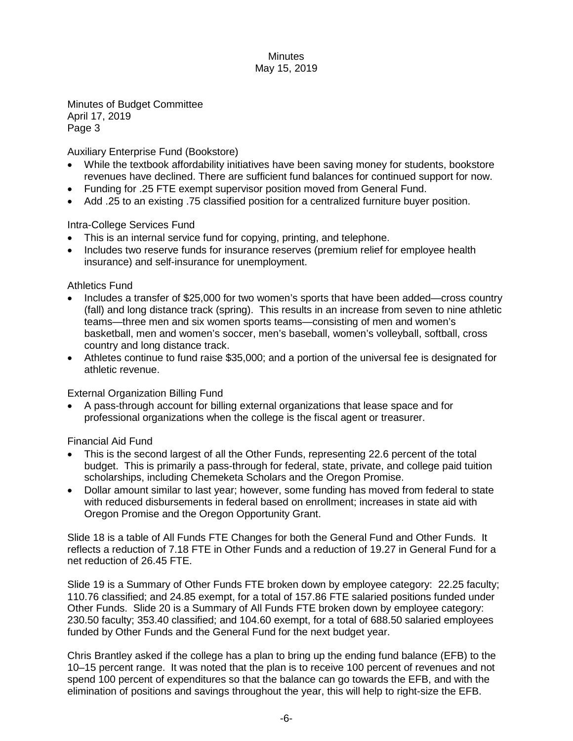Minutes of Budget Committee April 17, 2019 Page 3

Auxiliary Enterprise Fund (Bookstore)

- While the textbook affordability initiatives have been saving money for students, bookstore revenues have declined. There are sufficient fund balances for continued support for now.
- Funding for .25 FTE exempt supervisor position moved from General Fund.
- Add .25 to an existing .75 classified position for a centralized furniture buyer position.

Intra-College Services Fund

- This is an internal service fund for copying, printing, and telephone.
- Includes two reserve funds for insurance reserves (premium relief for employee health insurance) and self-insurance for unemployment.

Athletics Fund

- Includes a transfer of \$25,000 for two women's sports that have been added—cross country (fall) and long distance track (spring). This results in an increase from seven to nine athletic teams—three men and six women sports teams—consisting of men and women's basketball, men and women's soccer, men's baseball, women's volleyball, softball, cross country and long distance track.
- Athletes continue to fund raise \$35,000; and a portion of the universal fee is designated for athletic revenue.

External Organization Billing Fund

• A pass-through account for billing external organizations that lease space and for professional organizations when the college is the fiscal agent or treasurer.

Financial Aid Fund

- This is the second largest of all the Other Funds, representing 22.6 percent of the total budget. This is primarily a pass-through for federal, state, private, and college paid tuition scholarships, including Chemeketa Scholars and the Oregon Promise.
- Dollar amount similar to last year; however, some funding has moved from federal to state with reduced disbursements in federal based on enrollment; increases in state aid with Oregon Promise and the Oregon Opportunity Grant.

Slide 18 is a table of All Funds FTE Changes for both the General Fund and Other Funds. It reflects a reduction of 7.18 FTE in Other Funds and a reduction of 19.27 in General Fund for a net reduction of 26.45 FTE.

Slide 19 is a Summary of Other Funds FTE broken down by employee category: 22.25 faculty; 110.76 classified; and 24.85 exempt, for a total of 157.86 FTE salaried positions funded under Other Funds. Slide 20 is a Summary of All Funds FTE broken down by employee category: 230.50 faculty; 353.40 classified; and 104.60 exempt, for a total of 688.50 salaried employees funded by Other Funds and the General Fund for the next budget year.

Chris Brantley asked if the college has a plan to bring up the ending fund balance (EFB) to the 10–15 percent range. It was noted that the plan is to receive 100 percent of revenues and not spend 100 percent of expenditures so that the balance can go towards the EFB, and with the elimination of positions and savings throughout the year, this will help to right-size the EFB.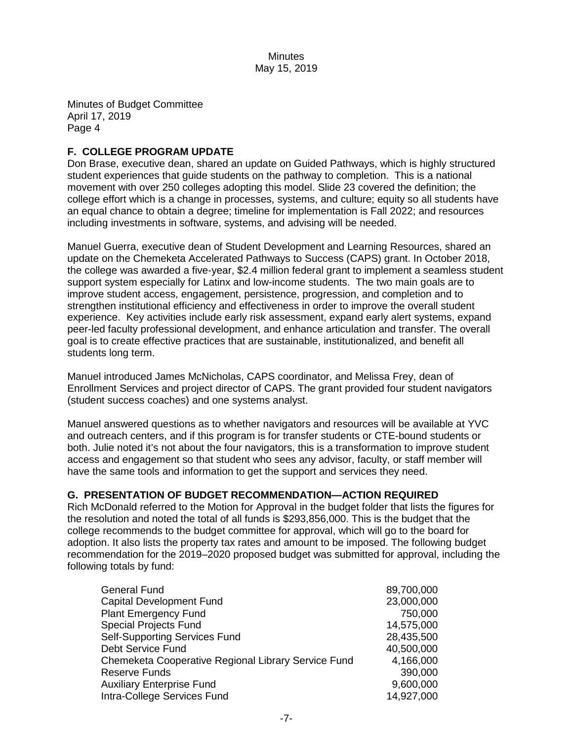Minutes of Budget Committee April 17, 2019 Page 4

# **F. COLLEGE PROGRAM UPDATE**

Don Brase, executive dean, shared an update on Guided Pathways, which is highly structured student experiences that guide students on the pathway to completion. This is a national movement with over 250 colleges adopting this model. Slide 23 covered the definition; the college effort which is a change in processes, systems, and culture; equity so all students have an equal chance to obtain a degree; timeline for implementation is Fall 2022; and resources including investments in software, systems, and advising will be needed.

Manuel Guerra, executive dean of Student Development and Learning Resources, shared an update on the Chemeketa Accelerated Pathways to Success (CAPS) grant. In October 2018, the college was awarded a five-year, \$2.4 million federal grant to implement a seamless student support system especially for Latinx and low-income students. The two main goals are to improve student access, engagement, persistence, progression, and completion and to strengthen institutional efficiency and effectiveness in order to improve the overall student experience. Key activities include early risk assessment, expand early alert systems, expand peer-led faculty professional development, and enhance articulation and transfer. The overall goal is to create effective practices that are sustainable, institutionalized, and benefit all students long term.

Manuel introduced James McNicholas, CAPS coordinator, and Melissa Frey, dean of Enrollment Services and project director of CAPS. The grant provided four student navigators (student success coaches) and one systems analyst.

Manuel answered questions as to whether navigators and resources will be available at YVC and outreach centers, and if this program is for transfer students or CTE-bound students or both. Julie noted it's not about the four navigators, this is a transformation to improve student access and engagement so that student who sees any advisor, faculty, or staff member will have the same tools and information to get the support and services they need.

# **G. PRESENTATION OF BUDGET RECOMMENDATION—ACTION REQUIRED**

Rich McDonald referred to the Motion for Approval in the budget folder that lists the figures for the resolution and noted the total of all funds is \$293,856,000. This is the budget that the college recommends to the budget committee for approval, which will go to the board for adoption. It also lists the property tax rates and amount to be imposed. The following budget recommendation for the 2019–2020 proposed budget was submitted for approval, including the following totals by fund:

| <b>General Fund</b>                                 | 89,700,000 |
|-----------------------------------------------------|------------|
| <b>Capital Development Fund</b>                     | 23,000,000 |
| <b>Plant Emergency Fund</b>                         | 750,000    |
| <b>Special Projects Fund</b>                        | 14,575,000 |
| <b>Self-Supporting Services Fund</b>                | 28,435,500 |
| Debt Service Fund                                   | 40,500,000 |
| Chemeketa Cooperative Regional Library Service Fund | 4,166,000  |
| <b>Reserve Funds</b>                                | 390,000    |
| <b>Auxiliary Enterprise Fund</b>                    | 9,600,000  |
| Intra-College Services Fund                         | 14,927,000 |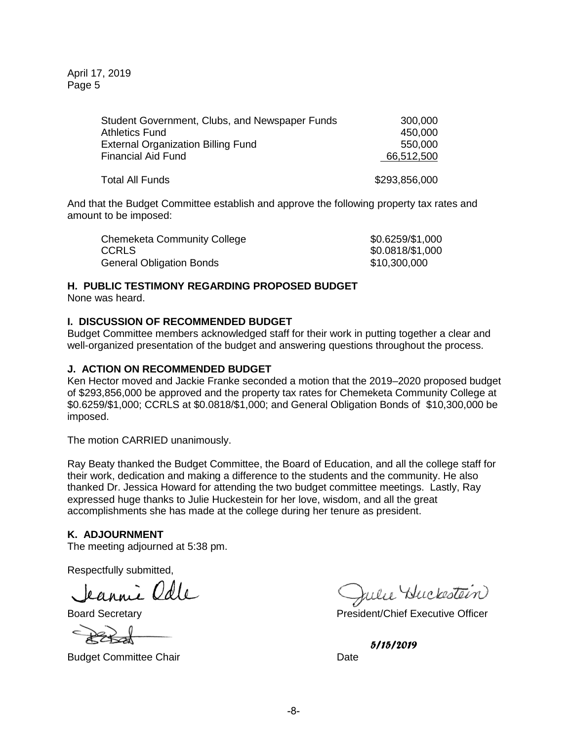April 17, 2019 Page 5

| Student Government, Clubs, and Newspaper Funds | 300,000       |
|------------------------------------------------|---------------|
| <b>Athletics Fund</b>                          | 450,000       |
| <b>External Organization Billing Fund</b>      | 550,000       |
| <b>Financial Aid Fund</b>                      | 66,512,500    |
| <b>Total All Funds</b>                         | \$293,856,000 |

And that the Budget Committee establish and approve the following property tax rates and amount to be imposed:

| Chemeketa Community College     | \$0.6259/\$1,000 |
|---------------------------------|------------------|
| <b>CCRLS</b>                    | \$0.0818/\$1,000 |
| <b>General Obligation Bonds</b> | \$10,300,000     |

# **H. PUBLIC TESTIMONY REGARDING PROPOSED BUDGET**

None was heard.

# **I. DISCUSSION OF RECOMMENDED BUDGET**

Budget Committee members acknowledged staff for their work in putting together a clear and well-organized presentation of the budget and answering questions throughout the process.

## **J. ACTION ON RECOMMENDED BUDGET**

Ken Hector moved and Jackie Franke seconded a motion that the 2019–2020 proposed budget of \$293,856,000 be approved and the property tax rates for Chemeketa Community College at \$0.6259/\$1,000; CCRLS at \$0.0818/\$1,000; and General Obligation Bonds of \$10,300,000 be imposed.

The motion CARRIED unanimously.

Ray Beaty thanked the Budget Committee, the Board of Education, and all the college staff for their work, dedication and making a difference to the students and the community. He also thanked Dr. Jessica Howard for attending the two budget committee meetings. Lastly, Ray expressed huge thanks to Julie Huckestein for her love, wisdom, and all the great accomplishments she has made at the college during her tenure as president.

## **K. ADJOURNMENT**

The meeting adjourned at 5:38 pm.

Respectfully submitted,

Jeannie Odle

Budget Committee Chair **Date** Date

Julie Huckestein

Board Secretary **President/Chief Executive Officer** 

*5/15/2019*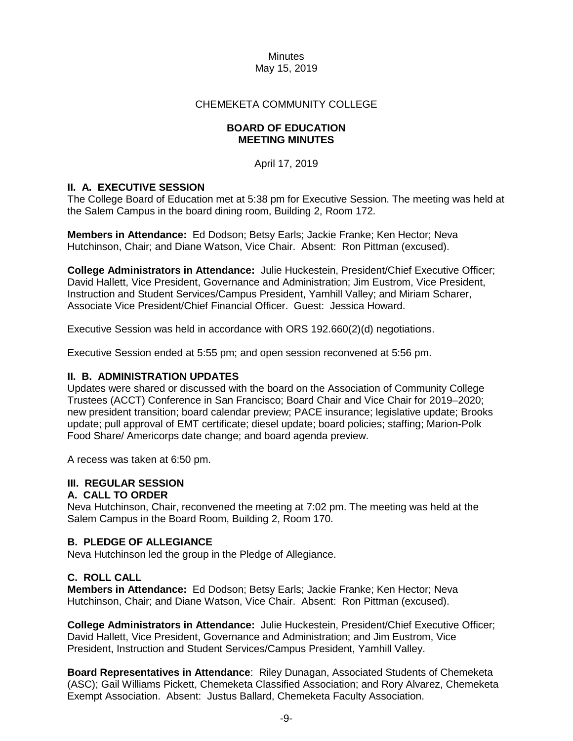# CHEMEKETA COMMUNITY COLLEGE

## **BOARD OF EDUCATION MEETING MINUTES**

April 17, 2019

# **II. A. EXECUTIVE SESSION**

The College Board of Education met at 5:38 pm for Executive Session. The meeting was held at the Salem Campus in the board dining room, Building 2, Room 172.

**Members in Attendance:** Ed Dodson; Betsy Earls; Jackie Franke; Ken Hector; Neva Hutchinson, Chair; and Diane Watson, Vice Chair. Absent: Ron Pittman (excused).

**College Administrators in Attendance:** Julie Huckestein, President/Chief Executive Officer; David Hallett, Vice President, Governance and Administration; Jim Eustrom, Vice President, Instruction and Student Services/Campus President, Yamhill Valley; and Miriam Scharer, Associate Vice President/Chief Financial Officer. Guest: Jessica Howard.

Executive Session was held in accordance with ORS 192.660(2)(d) negotiations.

Executive Session ended at 5:55 pm; and open session reconvened at 5:56 pm.

# **II. B. ADMINISTRATION UPDATES**

Updates were shared or discussed with the board on the Association of Community College Trustees (ACCT) Conference in San Francisco; Board Chair and Vice Chair for 2019–2020; new president transition; board calendar preview; PACE insurance; legislative update; Brooks update; pull approval of EMT certificate; diesel update; board policies; staffing; Marion-Polk Food Share/ Americorps date change; and board agenda preview.

A recess was taken at 6:50 pm.

## **III. REGULAR SESSION**

## **A. CALL TO ORDER**

Neva Hutchinson, Chair, reconvened the meeting at 7:02 pm. The meeting was held at the Salem Campus in the Board Room, Building 2, Room 170.

## **B. PLEDGE OF ALLEGIANCE**

Neva Hutchinson led the group in the Pledge of Allegiance.

# **C. ROLL CALL**

**Members in Attendance:** Ed Dodson; Betsy Earls; Jackie Franke; Ken Hector; Neva Hutchinson, Chair; and Diane Watson, Vice Chair. Absent: Ron Pittman (excused).

**College Administrators in Attendance:** Julie Huckestein, President/Chief Executive Officer; David Hallett, Vice President, Governance and Administration; and Jim Eustrom, Vice President, Instruction and Student Services/Campus President, Yamhill Valley.

**Board Representatives in Attendance**: Riley Dunagan, Associated Students of Chemeketa (ASC); Gail Williams Pickett, Chemeketa Classified Association; and Rory Alvarez, Chemeketa Exempt Association. Absent: Justus Ballard, Chemeketa Faculty Association.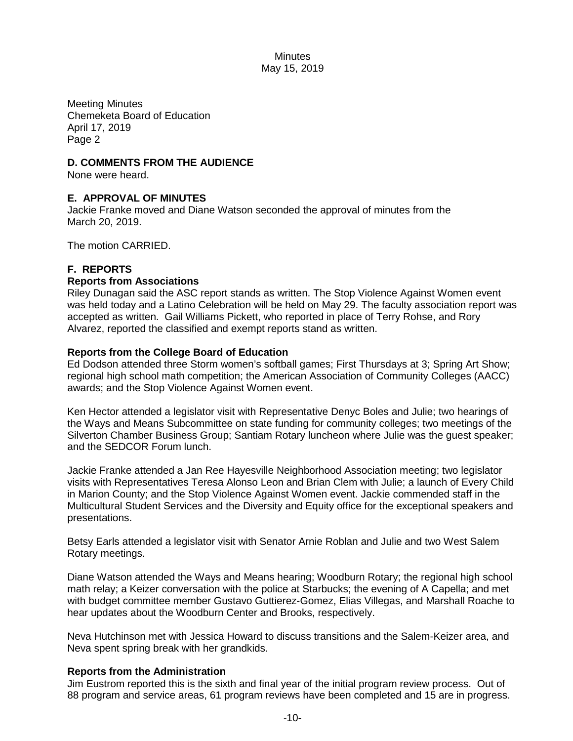Meeting Minutes Chemeketa Board of Education April 17, 2019 Page 2

# **D. COMMENTS FROM THE AUDIENCE**

None were heard.

# **E. APPROVAL OF MINUTES**

Jackie Franke moved and Diane Watson seconded the approval of minutes from the March 20, 2019.

The motion CARRIED.

# **F. REPORTS**

## **Reports from Associations**

Riley Dunagan said the ASC report stands as written. The Stop Violence Against Women event was held today and a Latino Celebration will be held on May 29. The faculty association report was accepted as written. Gail Williams Pickett, who reported in place of Terry Rohse, and Rory Alvarez, reported the classified and exempt reports stand as written.

## **Reports from the College Board of Education**

Ed Dodson attended three Storm women's softball games; First Thursdays at 3; Spring Art Show; regional high school math competition; the American Association of Community Colleges (AACC) awards; and the Stop Violence Against Women event.

Ken Hector attended a legislator visit with Representative Denyc Boles and Julie; two hearings of the Ways and Means Subcommittee on state funding for community colleges; two meetings of the Silverton Chamber Business Group; Santiam Rotary luncheon where Julie was the guest speaker; and the SEDCOR Forum lunch.

Jackie Franke attended a Jan Ree Hayesville Neighborhood Association meeting; two legislator visits with Representatives Teresa Alonso Leon and Brian Clem with Julie; a launch of Every Child in Marion County; and the Stop Violence Against Women event. Jackie commended staff in the Multicultural Student Services and the Diversity and Equity office for the exceptional speakers and presentations.

Betsy Earls attended a legislator visit with Senator Arnie Roblan and Julie and two West Salem Rotary meetings.

Diane Watson attended the Ways and Means hearing; Woodburn Rotary; the regional high school math relay; a Keizer conversation with the police at Starbucks; the evening of A Capella; and met with budget committee member Gustavo Guttierez-Gomez, Elias Villegas, and Marshall Roache to hear updates about the Woodburn Center and Brooks, respectively.

Neva Hutchinson met with Jessica Howard to discuss transitions and the Salem-Keizer area, and Neva spent spring break with her grandkids.

## **Reports from the Administration**

Jim Eustrom reported this is the sixth and final year of the initial program review process. Out of 88 program and service areas, 61 program reviews have been completed and 15 are in progress.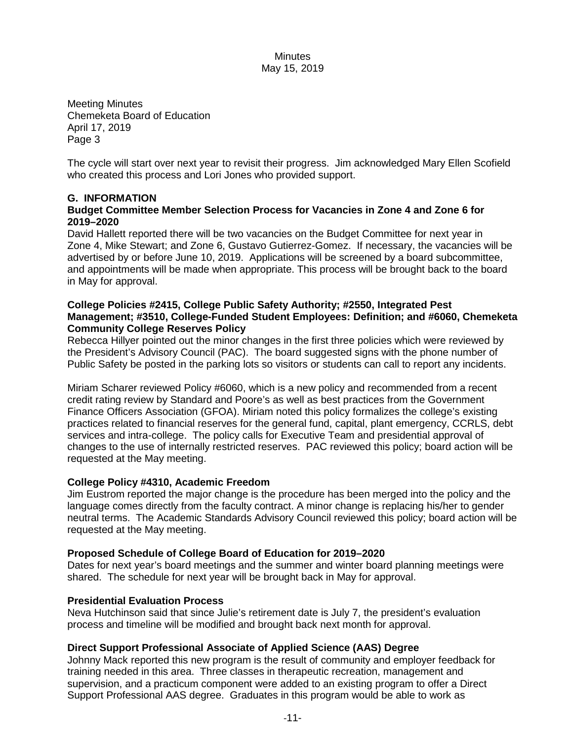Meeting Minutes Chemeketa Board of Education April 17, 2019 Page 3

The cycle will start over next year to revisit their progress. Jim acknowledged Mary Ellen Scofield who created this process and Lori Jones who provided support.

# **G. INFORMATION**

# **Budget Committee Member Selection Process for Vacancies in Zone 4 and Zone 6 for 2019–2020**

David Hallett reported there will be two vacancies on the Budget Committee for next year in Zone 4, Mike Stewart; and Zone 6, Gustavo Gutierrez-Gomez. If necessary, the vacancies will be advertised by or before June 10, 2019. Applications will be screened by a board subcommittee, and appointments will be made when appropriate. This process will be brought back to the board in May for approval.

#### **College Policies #2415, College Public Safety Authority; #2550, Integrated Pest Management; #3510, College-Funded Student Employees: Definition; and #6060, Chemeketa Community College Reserves Policy**

Rebecca Hillyer pointed out the minor changes in the first three policies which were reviewed by the President's Advisory Council (PAC). The board suggested signs with the phone number of Public Safety be posted in the parking lots so visitors or students can call to report any incidents.

Miriam Scharer reviewed Policy #6060, which is a new policy and recommended from a recent credit rating review by Standard and Poore's as well as best practices from the Government Finance Officers Association (GFOA). Miriam noted this policy formalizes the college's existing practices related to financial reserves for the general fund, capital, plant emergency, CCRLS, debt services and intra-college. The policy calls for Executive Team and presidential approval of changes to the use of internally restricted reserves. PAC reviewed this policy; board action will be requested at the May meeting.

## **College Policy #4310, Academic Freedom**

Jim Eustrom reported the major change is the procedure has been merged into the policy and the language comes directly from the faculty contract. A minor change is replacing his/her to gender neutral terms. The Academic Standards Advisory Council reviewed this policy; board action will be requested at the May meeting.

## **Proposed Schedule of College Board of Education for 2019–2020**

Dates for next year's board meetings and the summer and winter board planning meetings were shared. The schedule for next year will be brought back in May for approval.

## **Presidential Evaluation Process**

Neva Hutchinson said that since Julie's retirement date is July 7, the president's evaluation process and timeline will be modified and brought back next month for approval.

## **Direct Support Professional Associate of Applied Science (AAS) Degree**

Johnny Mack reported this new program is the result of community and employer feedback for training needed in this area. Three classes in therapeutic recreation, management and supervision, and a practicum component were added to an existing program to offer a Direct Support Professional AAS degree. Graduates in this program would be able to work as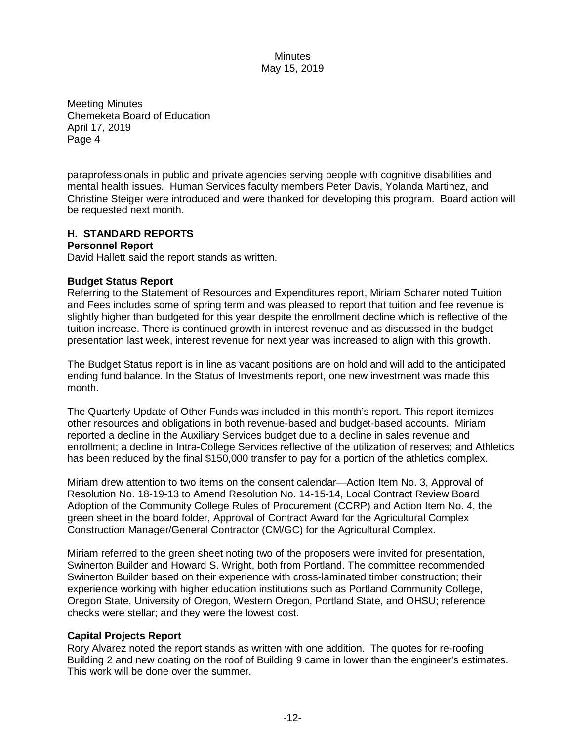Meeting Minutes Chemeketa Board of Education April 17, 2019 Page 4

paraprofessionals in public and private agencies serving people with cognitive disabilities and mental health issues. Human Services faculty members Peter Davis, Yolanda Martinez, and Christine Steiger were introduced and were thanked for developing this program. Board action will be requested next month.

# **H. STANDARD REPORTS**

# **Personnel Report**

David Hallett said the report stands as written.

# **Budget Status Report**

Referring to the Statement of Resources and Expenditures report, Miriam Scharer noted Tuition and Fees includes some of spring term and was pleased to report that tuition and fee revenue is slightly higher than budgeted for this year despite the enrollment decline which is reflective of the tuition increase. There is continued growth in interest revenue and as discussed in the budget presentation last week, interest revenue for next year was increased to align with this growth.

The Budget Status report is in line as vacant positions are on hold and will add to the anticipated ending fund balance. In the Status of Investments report, one new investment was made this month.

The Quarterly Update of Other Funds was included in this month's report. This report itemizes other resources and obligations in both revenue-based and budget-based accounts. Miriam reported a decline in the Auxiliary Services budget due to a decline in sales revenue and enrollment; a decline in Intra-College Services reflective of the utilization of reserves; and Athletics has been reduced by the final \$150,000 transfer to pay for a portion of the athletics complex.

Miriam drew attention to two items on the consent calendar—Action Item No. 3, Approval of Resolution No. 18-19-13 to Amend Resolution No. 14-15-14, Local Contract Review Board Adoption of the Community College Rules of Procurement (CCRP) and Action Item No. 4, the green sheet in the board folder, Approval of Contract Award for the Agricultural Complex Construction Manager/General Contractor (CM/GC) for the Agricultural Complex.

Miriam referred to the green sheet noting two of the proposers were invited for presentation, Swinerton Builder and Howard S. Wright, both from Portland. The committee recommended Swinerton Builder based on their experience with cross-laminated timber construction; their experience working with higher education institutions such as Portland Community College, Oregon State, University of Oregon, Western Oregon, Portland State, and OHSU; reference checks were stellar; and they were the lowest cost.

# **Capital Projects Report**

Rory Alvarez noted the report stands as written with one addition. The quotes for re-roofing Building 2 and new coating on the roof of Building 9 came in lower than the engineer's estimates. This work will be done over the summer.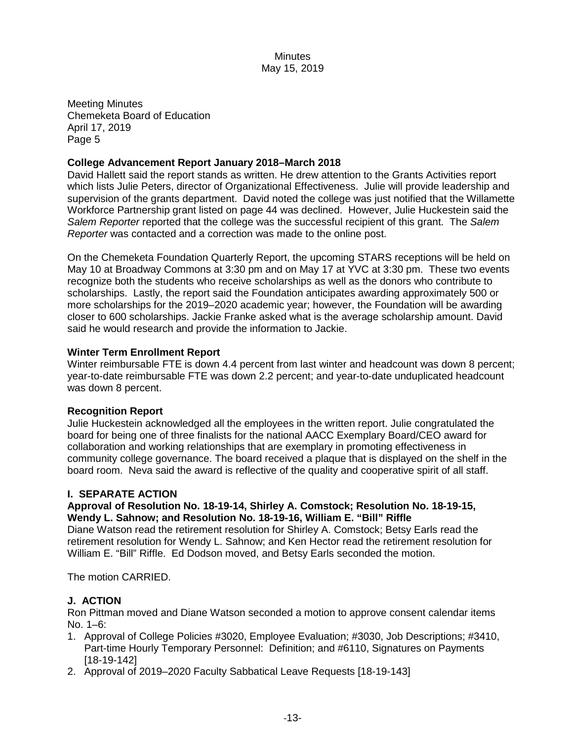Meeting Minutes Chemeketa Board of Education April 17, 2019 Page 5

# **College Advancement Report January 2018–March 2018**

David Hallett said the report stands as written. He drew attention to the Grants Activities report which lists Julie Peters, director of Organizational Effectiveness. Julie will provide leadership and supervision of the grants department. David noted the college was just notified that the Willamette Workforce Partnership grant listed on page 44 was declined. However, Julie Huckestein said the *Salem Reporter* reported that the college was the successful recipient of this grant. The *Salem Reporter* was contacted and a correction was made to the online post.

On the Chemeketa Foundation Quarterly Report, the upcoming STARS receptions will be held on May 10 at Broadway Commons at 3:30 pm and on May 17 at YVC at 3:30 pm. These two events recognize both the students who receive scholarships as well as the donors who contribute to scholarships. Lastly, the report said the Foundation anticipates awarding approximately 500 or more scholarships for the 2019–2020 academic year; however, the Foundation will be awarding closer to 600 scholarships. Jackie Franke asked what is the average scholarship amount. David said he would research and provide the information to Jackie.

# **Winter Term Enrollment Report**

Winter reimbursable FTE is down 4.4 percent from last winter and headcount was down 8 percent; year-to-date reimbursable FTE was down 2.2 percent; and year-to-date unduplicated headcount was down 8 percent.

## **Recognition Report**

Julie Huckestein acknowledged all the employees in the written report. Julie congratulated the board for being one of three finalists for the national AACC Exemplary Board/CEO award for collaboration and working relationships that are exemplary in promoting effectiveness in community college governance. The board received a plaque that is displayed on the shelf in the board room. Neva said the award is reflective of the quality and cooperative spirit of all staff.

## **I. SEPARATE ACTION**

## **Approval of Resolution No. 18-19-14, Shirley A. Comstock; Resolution No. 18-19-15, Wendy L. Sahnow; and Resolution No. 18-19-16, William E. "Bill" Riffle**

Diane Watson read the retirement resolution for Shirley A. Comstock; Betsy Earls read the retirement resolution for Wendy L. Sahnow; and Ken Hector read the retirement resolution for William E. "Bill" Riffle. Ed Dodson moved, and Betsy Earls seconded the motion.

The motion CARRIED.

# **J. ACTION**

Ron Pittman moved and Diane Watson seconded a motion to approve consent calendar items No. 1–6:

- 1. Approval of College Policies #3020, Employee Evaluation; #3030, Job Descriptions; #3410, Part-time Hourly Temporary Personnel: Definition; and #6110, Signatures on Payments [18-19-142]
- 2. Approval of 2019–2020 Faculty Sabbatical Leave Requests [18-19-143]